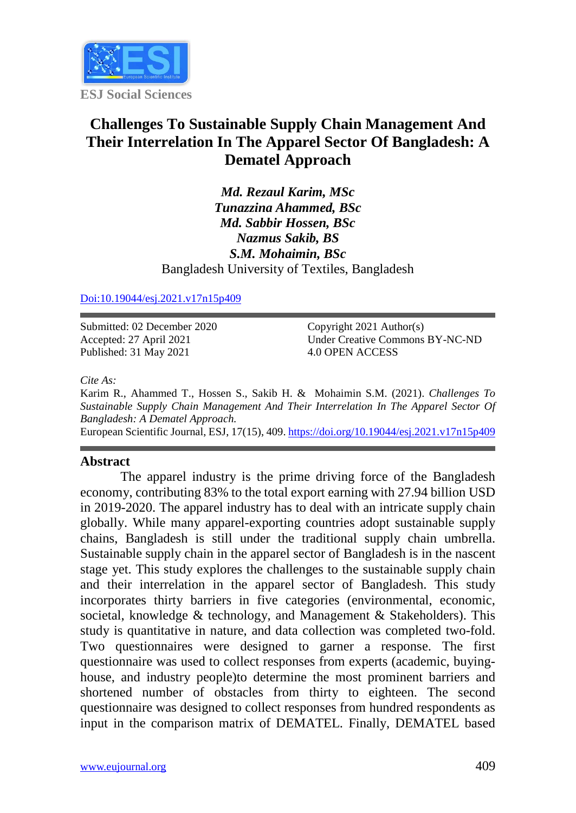

# **Challenges To Sustainable Supply Chain Management And Their Interrelation In The Apparel Sector Of Bangladesh: A Dematel Approach**

*Md. Rezaul Karim, MSc Tunazzina Ahammed, BSc Md. Sabbir Hossen, BSc Nazmus Sakib, BS S.M. Mohaimin, BSc* Bangladesh University of Textiles, Bangladesh

#### [Doi:10.19044/esj.2021.v17n15p409](https://doi.org/10.19044/esj.2021.v17n15p1)

Submitted: 02 December 2020 Accepted: 27 April 2021 Published: 31 May 2021

Copyright 2021 Author(s) Under Creative Commons BY-NC-ND 4.0 OPEN ACCESS

*Cite As:*

Karim R., Ahammed T., Hossen S., Sakib H. & Mohaimin S.M. (2021). *Challenges To Sustainable Supply Chain Management And Their Interrelation In The Apparel Sector Of Bangladesh: A Dematel Approach.*

European Scientific Journal, ESJ, 17(15), 409[. https://doi.org/10.19044/esj.2021.v17n15p409](https://doi.org/10.19044/esj.2021.v17n15p409)

#### **Abstract**

The apparel industry is the prime driving force of the Bangladesh economy, contributing 83% to the total export earning with 27.94 billion USD in 2019-2020. The apparel industry has to deal with an intricate supply chain globally. While many apparel-exporting countries adopt sustainable supply chains, Bangladesh is still under the traditional supply chain umbrella. Sustainable supply chain in the apparel sector of Bangladesh is in the nascent stage yet. This study explores the challenges to the sustainable supply chain and their interrelation in the apparel sector of Bangladesh. This study incorporates thirty barriers in five categories (environmental, economic, societal, knowledge & technology, and Management & Stakeholders). This study is quantitative in nature, and data collection was completed two-fold. Two questionnaires were designed to garner a response. The first questionnaire was used to collect responses from experts (academic, buyinghouse, and industry people)to determine the most prominent barriers and shortened number of obstacles from thirty to eighteen. The second questionnaire was designed to collect responses from hundred respondents as input in the comparison matrix of DEMATEL. Finally, DEMATEL based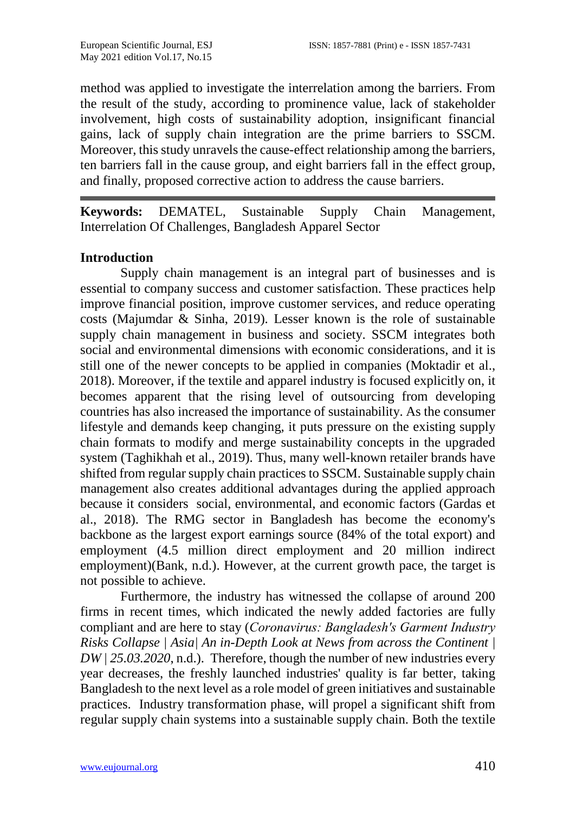method was applied to investigate the interrelation among the barriers. From the result of the study, according to prominence value, lack of stakeholder involvement, high costs of sustainability adoption, insignificant financial gains, lack of supply chain integration are the prime barriers to SSCM. Moreover, this study unravels the cause-effect relationship among the barriers, ten barriers fall in the cause group, and eight barriers fall in the effect group, and finally, proposed corrective action to address the cause barriers.

**Keywords:** DEMATEL, Sustainable Supply Chain Management, Interrelation Of Challenges, Bangladesh Apparel Sector

#### **Introduction**

Supply chain management is an integral part of businesses and is essential to company success and customer satisfaction. These practices help improve financial position, improve customer services, and reduce operating costs (Majumdar & Sinha, 2019). Lesser known is the role of sustainable supply chain management in business and society. SSCM integrates both social and environmental dimensions with economic considerations, and it is still one of the newer concepts to be applied in companies (Moktadir et al., 2018). Moreover, if the textile and apparel industry is focused explicitly on, it becomes apparent that the rising level of outsourcing from developing countries has also increased the importance of sustainability. As the consumer lifestyle and demands keep changing, it puts pressure on the existing supply chain formats to modify and merge sustainability concepts in the upgraded system (Taghikhah et al., 2019). Thus, many well-known retailer brands have shifted from regular supply chain practices to SSCM. Sustainable supply chain management also creates additional advantages during the applied approach because it considers social, environmental, and economic factors (Gardas et al., 2018). The RMG sector in Bangladesh has become the economy's backbone as the largest export earnings source (84% of the total export) and employment (4.5 million direct employment and 20 million indirect employment)(Bank, n.d.). However, at the current growth pace, the target is not possible to achieve.

Furthermore, the industry has witnessed the collapse of around 200 firms in recent times, which indicated the newly added factories are fully compliant and are here to stay (*Coronavirus: Bangladesh′s Garment Industry Risks Collapse | Asia| An in-Depth Look at News from across the Continent | DW | 25.03.2020*, n.d.). Therefore, though the number of new industries every year decreases, the freshly launched industries' quality is far better, taking Bangladesh to the next level as a role model of green initiatives and sustainable practices. Industry transformation phase, will propel a significant shift from regular supply chain systems into a sustainable supply chain. Both the textile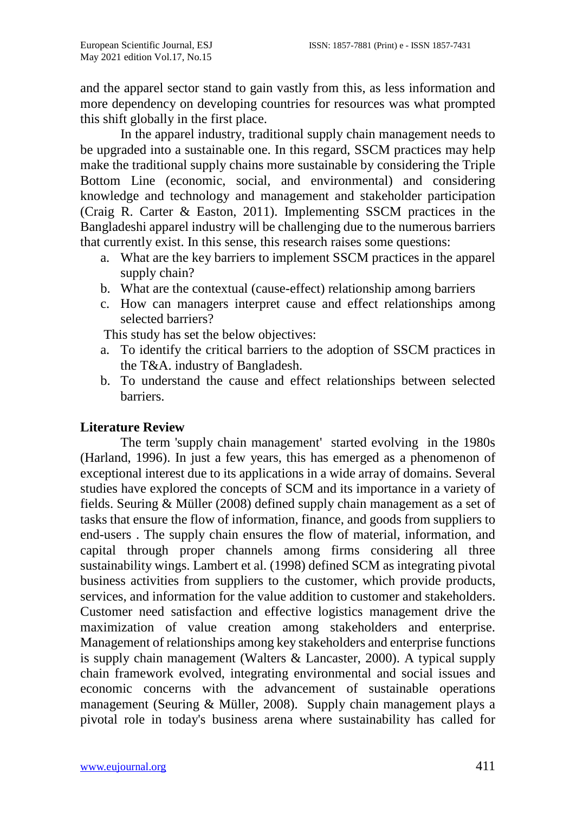and the apparel sector stand to gain vastly from this, as less information and more dependency on developing countries for resources was what prompted this shift globally in the first place.

In the apparel industry, traditional supply chain management needs to be upgraded into a sustainable one. In this regard, SSCM practices may help make the traditional supply chains more sustainable by considering the Triple Bottom Line (economic, social, and environmental) and considering knowledge and technology and management and stakeholder participation (Craig R. Carter & Easton, 2011). Implementing SSCM practices in the Bangladeshi apparel industry will be challenging due to the numerous barriers that currently exist. In this sense, this research raises some questions:

- a. What are the key barriers to implement SSCM practices in the apparel supply chain?
- b. What are the contextual (cause-effect) relationship among barriers
- c. How can managers interpret cause and effect relationships among selected barriers?

This study has set the below objectives:

- a. To identify the critical barriers to the adoption of SSCM practices in the T&A. industry of Bangladesh.
- b. To understand the cause and effect relationships between selected barriers.

#### **Literature Review**

The term 'supply chain management' started evolving in the 1980s (Harland, 1996). In just a few years, this has emerged as a phenomenon of exceptional interest due to its applications in a wide array of domains. Several studies have explored the concepts of SCM and its importance in a variety of fields. Seuring & Müller (2008) defined supply chain management as a set of tasks that ensure the flow of information, finance, and goods from suppliers to end-users . The supply chain ensures the flow of material, information, and capital through proper channels among firms considering all three sustainability wings. Lambert et al. (1998) defined SCM as integrating pivotal business activities from suppliers to the customer, which provide products, services, and information for the value addition to customer and stakeholders. Customer need satisfaction and effective logistics management drive the maximization of value creation among stakeholders and enterprise. Management of relationships among key stakeholders and enterprise functions is supply chain management (Walters & Lancaster, 2000). A typical supply chain framework evolved, integrating environmental and social issues and economic concerns with the advancement of sustainable operations management (Seuring & Müller, 2008). Supply chain management plays a pivotal role in today's business arena where sustainability has called for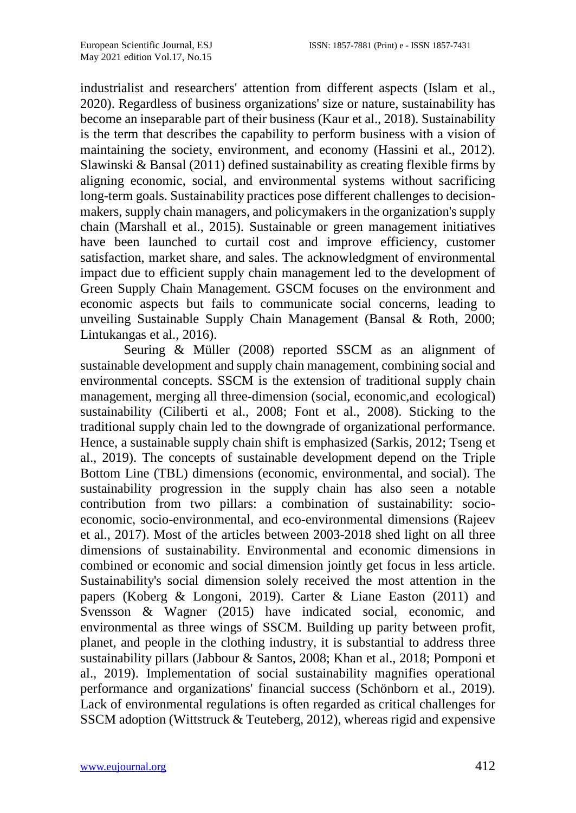industrialist and researchers' attention from different aspects (Islam et al., 2020). Regardless of business organizations' size or nature, sustainability has become an inseparable part of their business (Kaur et al., 2018). Sustainability is the term that describes the capability to perform business with a vision of maintaining the society, environment, and economy (Hassini et al., 2012). Slawinski & Bansal (2011) defined sustainability as creating flexible firms by aligning economic, social, and environmental systems without sacrificing long-term goals. Sustainability practices pose different challenges to decisionmakers, supply chain managers, and policymakers in the organization's supply chain (Marshall et al., 2015). Sustainable or green management initiatives have been launched to curtail cost and improve efficiency, customer satisfaction, market share, and sales. The acknowledgment of environmental impact due to efficient supply chain management led to the development of Green Supply Chain Management. GSCM focuses on the environment and economic aspects but fails to communicate social concerns, leading to unveiling Sustainable Supply Chain Management (Bansal & Roth, 2000; Lintukangas et al., 2016).

Seuring & Müller (2008) reported SSCM as an alignment of sustainable development and supply chain management, combining social and environmental concepts. SSCM is the extension of traditional supply chain management, merging all three-dimension (social, economic,and ecological) sustainability (Ciliberti et al., 2008; Font et al., 2008). Sticking to the traditional supply chain led to the downgrade of organizational performance. Hence, a sustainable supply chain shift is emphasized (Sarkis, 2012; Tseng et al., 2019). The concepts of sustainable development depend on the Triple Bottom Line (TBL) dimensions (economic, environmental, and social). The sustainability progression in the supply chain has also seen a notable contribution from two pillars: a combination of sustainability: socioeconomic, socio-environmental, and eco-environmental dimensions (Rajeev et al., 2017). Most of the articles between 2003-2018 shed light on all three dimensions of sustainability. Environmental and economic dimensions in combined or economic and social dimension jointly get focus in less article. Sustainability's social dimension solely received the most attention in the papers (Koberg & Longoni, 2019). Carter & Liane Easton (2011) and Svensson & Wagner (2015) have indicated social, economic, and environmental as three wings of SSCM. Building up parity between profit, planet, and people in the clothing industry, it is substantial to address three sustainability pillars (Jabbour & Santos, 2008; Khan et al., 2018; Pomponi et al., 2019). Implementation of social sustainability magnifies operational performance and organizations' financial success (Schönborn et al., 2019). Lack of environmental regulations is often regarded as critical challenges for SSCM adoption (Wittstruck & Teuteberg, 2012), whereas rigid and expensive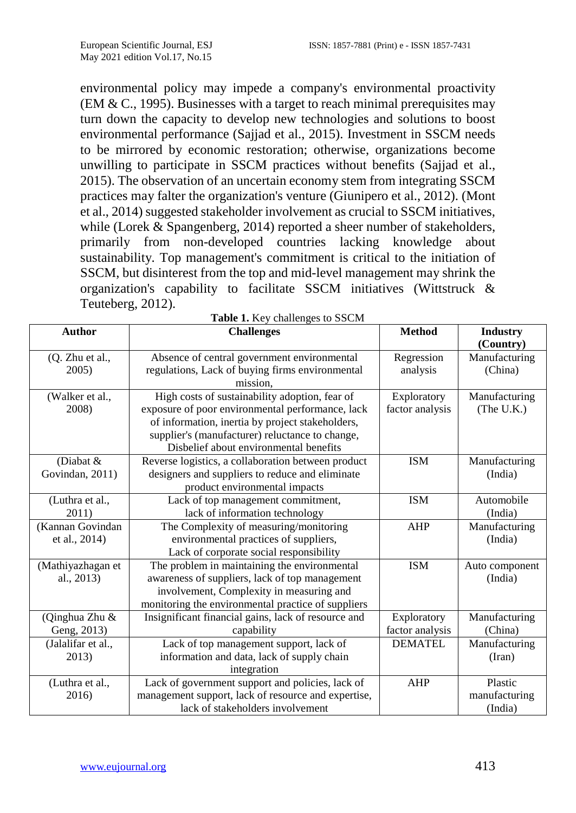environmental policy may impede a company's environmental proactivity (EM & C., 1995). Businesses with a target to reach minimal prerequisites may turn down the capacity to develop new technologies and solutions to boost environmental performance (Sajjad et al., 2015). Investment in SSCM needs to be mirrored by economic restoration; otherwise, organizations become unwilling to participate in SSCM practices without benefits (Sajjad et al., 2015). The observation of an uncertain economy stem from integrating SSCM practices may falter the organization's venture (Giunipero et al., 2012). (Mont et al., 2014) suggested stakeholder involvement as crucial to SSCM initiatives, while (Lorek & Spangenberg, 2014) reported a sheer number of stakeholders, primarily from non-developed countries lacking knowledge about sustainability. Top management's commitment is critical to the initiation of SSCM, but disinterest from the top and mid-level management may shrink the organization's capability to facilitate SSCM initiatives (Wittstruck & Teuteberg, 2012).

| <b>Author</b>      | <b>rabic 1.</b> Rey enancingles to bbc.wr<br><b>Challenges</b> | <b>Method</b>   | <b>Industry</b> |
|--------------------|----------------------------------------------------------------|-----------------|-----------------|
|                    |                                                                |                 | (Country)       |
| (Q. Zhu et al.,    | Absence of central government environmental                    | Regression      | Manufacturing   |
| 2005)              | regulations, Lack of buying firms environmental<br>mission.    | analysis        | (China)         |
| (Walker et al.,    | High costs of sustainability adoption, fear of                 | Exploratory     | Manufacturing   |
| 2008)              | exposure of poor environmental performance, lack               | factor analysis | (The U.K.)      |
|                    | of information, inertia by project stakeholders,               |                 |                 |
|                    | supplier's (manufacturer) reluctance to change,                |                 |                 |
|                    | Disbelief about environmental benefits                         |                 |                 |
| (Diabat $&$        | Reverse logistics, a collaboration between product             | <b>ISM</b>      | Manufacturing   |
| Govindan, 2011)    | designers and suppliers to reduce and eliminate                |                 | (India)         |
|                    | product environmental impacts                                  |                 |                 |
| (Luthra et al.,    | Lack of top management commitment,                             | <b>ISM</b>      | Automobile      |
| 2011)              | lack of information technology                                 |                 | (India)         |
| (Kannan Govindan   | The Complexity of measuring/monitoring                         | <b>AHP</b>      | Manufacturing   |
| et al., 2014)      | environmental practices of suppliers,                          |                 | (India)         |
|                    | Lack of corporate social responsibility                        |                 |                 |
| (Mathiyazhagan et  | The problem in maintaining the environmental                   | <b>ISM</b>      | Auto component  |
| al., 2013)         | awareness of suppliers, lack of top management                 |                 | (India)         |
|                    | involvement, Complexity in measuring and                       |                 |                 |
|                    | monitoring the environmental practice of suppliers             |                 |                 |
| (Qinghua Zhu &     | Insignificant financial gains, lack of resource and            | Exploratory     | Manufacturing   |
| Geng, 2013)        | capability                                                     | factor analysis | (China)         |
| (Jalalifar et al., | Lack of top management support, lack of                        | <b>DEMATEL</b>  | Manufacturing   |
| 2013)              | information and data, lack of supply chain                     |                 | (Iran)          |
|                    | integration                                                    |                 |                 |
| (Luthra et al.,    | Lack of government support and policies, lack of               | AHP             | Plastic         |
| 2016)              | management support, lack of resource and expertise,            |                 | manufacturing   |
|                    | lack of stakeholders involvement                               |                 | (India)         |

|  |  | Table 1. Key challenges to SSCM |  |
|--|--|---------------------------------|--|
|--|--|---------------------------------|--|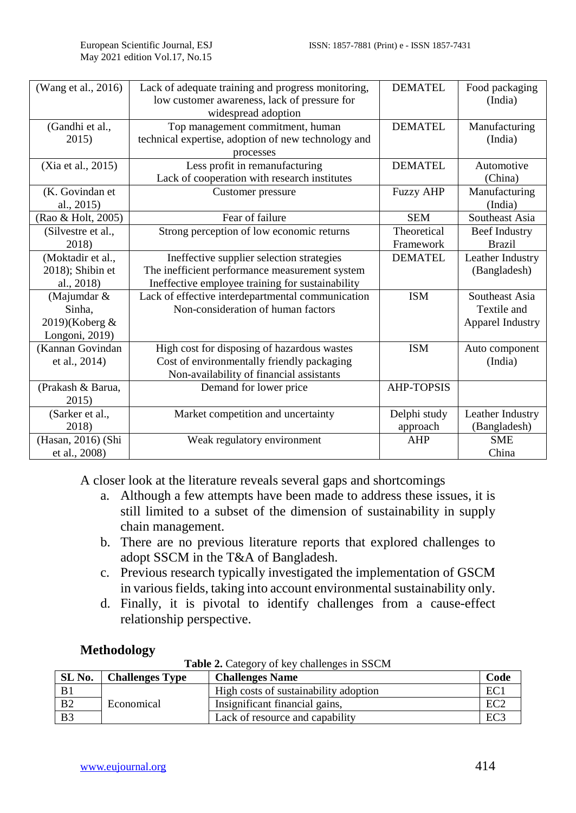| (Wang et al., 2016)                                       | Lack of adequate training and progress monitoring,<br>low customer awareness, lack of pressure for<br>widespread adoption                       | <b>DEMATEL</b>           | Food packaging<br>(India)                         |
|-----------------------------------------------------------|-------------------------------------------------------------------------------------------------------------------------------------------------|--------------------------|---------------------------------------------------|
| (Gandhi et al.,<br>2015)                                  | Top management commitment, human<br>technical expertise, adoption of new technology and<br>processes                                            | <b>DEMATEL</b>           | Manufacturing<br>(India)                          |
| (Xia et al., 2015)                                        | Less profit in remanufacturing<br>Lack of cooperation with research institutes                                                                  | <b>DEMATEL</b>           | Automotive<br>(China)                             |
| (K. Govindan et<br>al., 2015)                             | Customer pressure                                                                                                                               | <b>Fuzzy AHP</b>         | Manufacturing<br>(India)                          |
| (Rao & Holt, 2005)                                        | Fear of failure                                                                                                                                 | <b>SEM</b>               | Southeast Asia                                    |
| (Silvestre et al.,<br>2018)                               | Strong perception of low economic returns                                                                                                       | Theoretical<br>Framework | <b>Beef Industry</b><br><b>Brazil</b>             |
| (Moktadir et al.,<br>2018); Shibin et<br>al., 2018)       | Ineffective supplier selection strategies<br>The inefficient performance measurement system<br>Ineffective employee training for sustainability | <b>DEMATEL</b>           | Leather Industry<br>(Bangladesh)                  |
| (Majumdar &<br>Sinha.<br>2019)(Koberg &<br>Longoni, 2019) | Lack of effective interdepartmental communication<br>Non-consideration of human factors                                                         | <b>ISM</b>               | Southeast Asia<br>Textile and<br>Apparel Industry |
| (Kannan Govindan<br>et al., 2014)                         | High cost for disposing of hazardous wastes<br>Cost of environmentally friendly packaging<br>Non-availability of financial assistants           | <b>ISM</b>               | Auto component<br>(India)                         |
| (Prakash & Barua,<br>2015)                                | Demand for lower price                                                                                                                          | <b>AHP-TOPSIS</b>        |                                                   |
| (Sarker et al.,<br>2018)                                  | Market competition and uncertainty                                                                                                              | Delphi study<br>approach | Leather Industry<br>(Bangladesh)                  |
| (Hasan, 2016) (Shi<br>et al., 2008)                       | Weak regulatory environment                                                                                                                     | AHP                      | <b>SME</b><br>China                               |

A closer look at the literature reveals several gaps and shortcomings

- a. Although a few attempts have been made to address these issues, it is still limited to a subset of the dimension of sustainability in supply chain management.
- b. There are no previous literature reports that explored challenges to adopt SSCM in the T&A of Bangladesh.
- c. Previous research typically investigated the implementation of GSCM in various fields, taking into account environmental sustainability only.
- d. Finally, it is pivotal to identify challenges from a cause-effect relationship perspective.

# **Methodology**

**Table 2.** Category of key challenges in SSCM

| SL No.         | <b>Challenges Type</b> | <b>Challenges Name</b>                | Code            |
|----------------|------------------------|---------------------------------------|-----------------|
| B <sub>1</sub> |                        | High costs of sustainability adoption | EC.             |
| B <sub>2</sub> | Economical             | Insignificant financial gains,        | EC <sub>2</sub> |
| B <sub>3</sub> |                        | Lack of resource and capability       | EC <sub>3</sub> |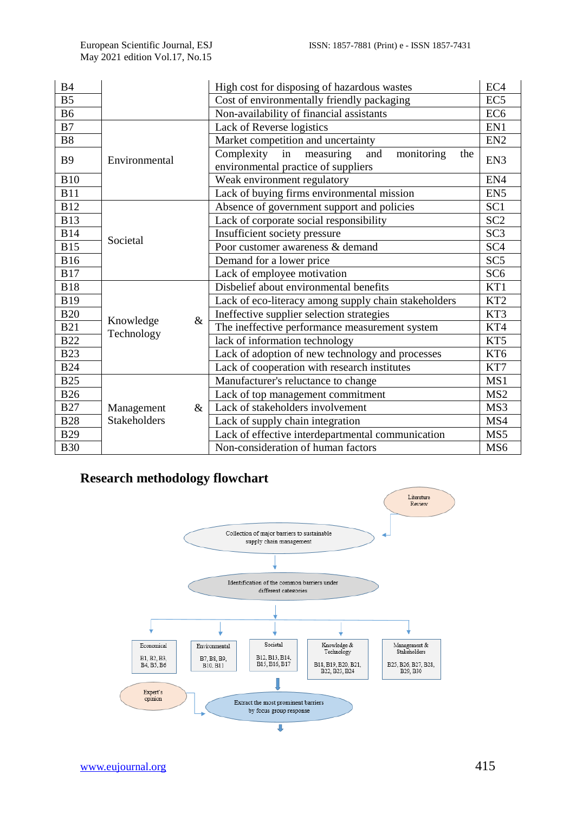| <b>B4</b>      |                     | High cost for disposing of hazardous wastes               | EC <sub>4</sub> |
|----------------|---------------------|-----------------------------------------------------------|-----------------|
| B <sub>5</sub> |                     | Cost of environmentally friendly packaging                | EC <sub>5</sub> |
| <b>B6</b>      |                     | Non-availability of financial assistants                  | EC <sub>6</sub> |
| B7             |                     | Lack of Reverse logistics                                 | EN1             |
| <b>B8</b>      |                     | Market competition and uncertainty                        | EN <sub>2</sub> |
| <b>B</b> 9     | Environmental       | Complexity<br>in<br>and<br>monitoring<br>measuring<br>the | EN3             |
|                |                     | environmental practice of suppliers                       |                 |
| <b>B10</b>     |                     | Weak environment regulatory                               | EN4             |
| <b>B11</b>     |                     | Lack of buying firms environmental mission                | EN <sub>5</sub> |
| <b>B12</b>     |                     | Absence of government support and policies                | SC <sub>1</sub> |
| <b>B13</b>     |                     | Lack of corporate social responsibility                   | SC <sub>2</sub> |
| <b>B14</b>     | Societal            | Insufficient society pressure                             | SC <sub>3</sub> |
| <b>B15</b>     |                     | Poor customer awareness & demand                          | SC <sub>4</sub> |
| <b>B16</b>     |                     | Demand for a lower price                                  | SC <sub>5</sub> |
| <b>B17</b>     |                     | Lack of employee motivation                               | SC <sub>6</sub> |
| <b>B18</b>     |                     | Disbelief about environmental benefits                    | KT1             |
| <b>B19</b>     |                     | Lack of eco-literacy among supply chain stakeholders      | KT <sub>2</sub> |
| <b>B20</b>     |                     | Ineffective supplier selection strategies                 | KT3             |
| <b>B21</b>     | $\&$<br>Knowledge   | The ineffective performance measurement system            | KT4             |
| <b>B22</b>     | Technology          | lack of information technology                            | KT5             |
| <b>B23</b>     |                     | Lack of adoption of new technology and processes          | KT <sub>6</sub> |
| <b>B24</b>     |                     | Lack of cooperation with research institutes              | KT7             |
| <b>B25</b>     |                     | Manufacturer's reluctance to change                       | MS1             |
| <b>B26</b>     |                     | Lack of top management commitment                         | MS <sub>2</sub> |
| <b>B27</b>     | Management<br>$\&$  | Lack of stakeholders involvement                          | MS3             |
| <b>B28</b>     | <b>Stakeholders</b> | Lack of supply chain integration                          | MS4             |
| <b>B29</b>     |                     | Lack of effective interdepartmental communication         | MS5             |
| <b>B30</b>     |                     | Non-consideration of human factors                        | MS <sub>6</sub> |

# **Research methodology flowchart**

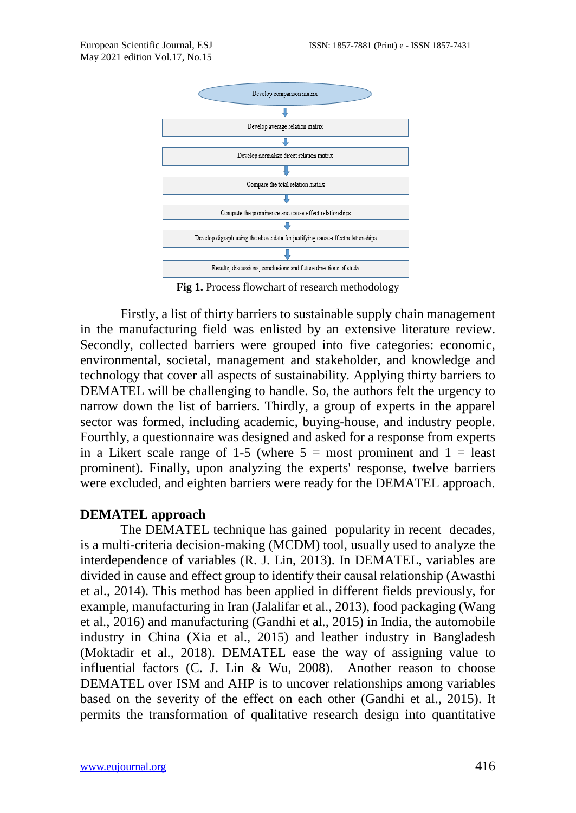

**Fig 1.** Process flowchart of research methodology

Firstly, a list of thirty barriers to sustainable supply chain management in the manufacturing field was enlisted by an extensive literature review. Secondly, collected barriers were grouped into five categories: economic, environmental, societal, management and stakeholder, and knowledge and technology that cover all aspects of sustainability. Applying thirty barriers to DEMATEL will be challenging to handle. So, the authors felt the urgency to narrow down the list of barriers. Thirdly, a group of experts in the apparel sector was formed, including academic, buying-house, and industry people. Fourthly, a questionnaire was designed and asked for a response from experts in a Likert scale range of 1-5 (where  $5 =$  most prominent and  $1 =$  least prominent). Finally, upon analyzing the experts' response, twelve barriers were excluded, and eighten barriers were ready for the DEMATEL approach.

# **DEMATEL approach**

The DEMATEL technique has gained popularity in recent decades, is a multi-criteria decision-making (MCDM) tool, usually used to analyze the interdependence of variables (R. J. Lin, 2013). In DEMATEL, variables are divided in cause and effect group to identify their causal relationship (Awasthi et al., 2014). This method has been applied in different fields previously, for example, manufacturing in Iran (Jalalifar et al., 2013), food packaging (Wang et al., 2016) and manufacturing (Gandhi et al., 2015) in India, the automobile industry in China (Xia et al., 2015) and leather industry in Bangladesh (Moktadir et al., 2018). DEMATEL ease the way of assigning value to influential factors (C. J. Lin & Wu, 2008). Another reason to choose DEMATEL over ISM and AHP is to uncover relationships among variables based on the severity of the effect on each other (Gandhi et al., 2015). It permits the transformation of qualitative research design into quantitative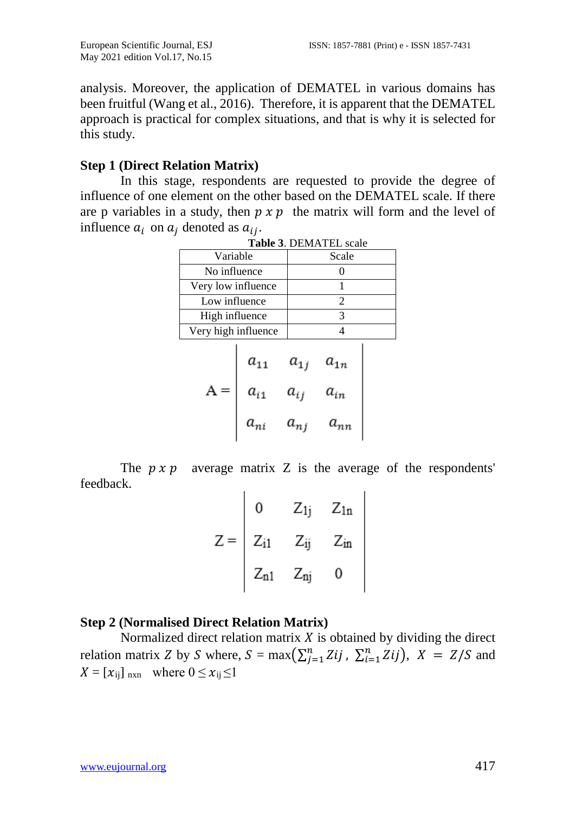analysis. Moreover, the application of DEMATEL in various domains has been fruitful (Wang et al., 2016). Therefore, it is apparent that the DEMATEL approach is practical for complex situations, and that is why it is selected for this study.

# **Step 1 (Direct Relation Matrix)**

In this stage, respondents are requested to provide the degree of influence of one element on the other based on the DEMATEL scale. If there are p variables in a study, then  $p \times p$  the matrix will form and the level of influence  $a_i$  on  $a_i$  denoted as  $a_{ij}$ .

|                     |                      |                                  | <b>TABJUE J. DEIVIATEL SCAIU</b> |  |
|---------------------|----------------------|----------------------------------|----------------------------------|--|
| Variable            |                      |                                  | Scale                            |  |
| No influence        |                      |                                  | 0                                |  |
| Very low influence  |                      |                                  |                                  |  |
| Low influence       |                      |                                  | $\overline{2}$                   |  |
| High influence      |                      |                                  | 3                                |  |
| Very high influence |                      |                                  | 4                                |  |
|                     | $a_{11}$<br>$a_{i1}$ | $a_{1j}$<br>$a_{ij}$<br>$a_{ni}$ | $a_{1n}$<br>$a_{in}$             |  |

| <b>Table 3. DEMATEL scale</b> |
|-------------------------------|
|                               |

The  $p \times p$  average matrix Z is the average of the respondents' feedback.

|                                                              | 0 $Z_{1j}$ $Z_{1n}$ |
|--------------------------------------------------------------|---------------------|
| $Z = \begin{vmatrix} Z_{i1} & Z_{ij} & Z_{in} \end{vmatrix}$ |                     |
| $Z_{n1}$ $Z_{nj}$                                            | 0                   |

# **Step 2 (Normalised Direct Relation Matrix)**

Normalized direct relation matrix  $X$  is obtained by dividing the direct relation matrix Z by S where,  $S = \max(\sum_{j=1}^{n} Z_{ij})$ ,  $\sum_{i=1}^{n} Z_{ij}$ ,  $X = Z/S$  and  $X = [x_{ij}]_{n \times n}$  where  $0 \le x_{ij} \le 1$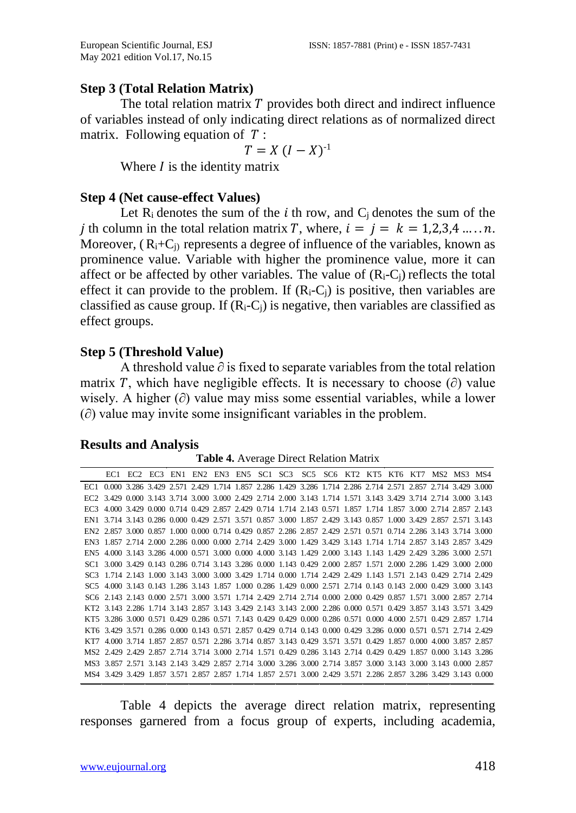# **Step 3 (Total Relation Matrix)**

The total relation matrix  $T$  provides both direct and indirect influence of variables instead of only indicating direct relations as of normalized direct matrix. Following equation of  $T$ :

$$
T = X (I - X)^{-1}
$$

Where  *is the identity matrix* 

# **Step 4 (Net cause-effect Values)**

Let  $R_i$  denotes the sum of the i th row, and  $C_i$  denotes the sum of the *i* th column in the total relation matrix T, where,  $i = j = k = 1,2,3,4,..., n$ . Moreover,  $(R_i+C_i)$  represents a degree of influence of the variables, known as prominence value. Variable with higher the prominence value, more it can affect or be affected by other variables. The value of  $(R_i-C_j)$  reflects the total effect it can provide to the problem. If  $(R_i-C_i)$  is positive, then variables are classified as cause group. If  $(R_i-C_i)$  is negative, then variables are classified as effect groups.

# **Step 5 (Threshold Value)**

A threshold value  $\partial$  is fixed to separate variables from the total relation matrix T, which have negligible effects. It is necessary to choose ( $\partial$ ) value wisely. A higher (∂) value may miss some essential variables, while a lower (∂) value may invite some insignificant variables in the problem.

# **Results and Analysis**

**Table 4.** Average Direct Relation Matrix

|                                                                                                                  |  | EC1 EC2 EC3 EN1 EN2 EN3 EN5 SC1 SC3 SC5 SC6 KT2 KT5 KT6 KT7 MS2 MS3 MS4 |  |  |  |  |  |  |  |
|------------------------------------------------------------------------------------------------------------------|--|-------------------------------------------------------------------------|--|--|--|--|--|--|--|
| EC1 0.000 3.286 3.429 2.571 2.429 1.714 1.857 2.286 1.429 3.286 1.714 2.286 2.714 2.571 2.857 2.714 3.429 3.000  |  |                                                                         |  |  |  |  |  |  |  |
| EC2 3.429 0.000 3.143 3.714 3.000 3.000 2.429 2.714 2.000 3.143 1.714 1.571 3.143 3.429 3.714 2.714 3.000 3.143  |  |                                                                         |  |  |  |  |  |  |  |
| EC3 4.000 3.429 0.000 0.714 0.429 2.857 2.429 0.714 1.714 2.143 0.571 1.857 1.714 1.857 3.000 2.714 2.857 2.143  |  |                                                                         |  |  |  |  |  |  |  |
| EN1 3.714 3.143 0.286 0.000 0.429 2.571 3.571 0.857 3.000 1.857 2.429 3.143 0.857 1.000 3.429 2.857 2.571 3.143  |  |                                                                         |  |  |  |  |  |  |  |
| EN2 2.857 3.000 0.857 1.000 0.000 0.714 0.429 0.857 2.286 2.857 2.429 2.571 0.571 0.714 2.286 3.143 3.714 3.000  |  |                                                                         |  |  |  |  |  |  |  |
| EN3 1.857 2.714 2.000 2.286 0.000 0.000 2.714 2.429 3.000 1.429 3.429 3.143 1.714 1.714 2.857 3.143 2.857 3.429  |  |                                                                         |  |  |  |  |  |  |  |
| EN5 4.000 3.143 3.286 4.000 0.571 3.000 0.000 4.000 3.143 1.429 2.000 3.143 1.143 1.429 2.429 3.286 3.000 2.571  |  |                                                                         |  |  |  |  |  |  |  |
| SC1 3.000 3.429 0.143 0.286 0.714 3.143 3.286 0.000 1.143 0.429 2.000 2.857 1.571 2.000 2.286 1.429 3.000 2.000  |  |                                                                         |  |  |  |  |  |  |  |
| SC3 1.714 2.143 1.000 3.143 3.000 3.000 3.429 1.714 0.000 1.714 2.429 2.429 1.143 1.571 2.143 0.429 2.714 2.429  |  |                                                                         |  |  |  |  |  |  |  |
| SC5 4.000 3.143 0.143 1.286 3.143 1.857 1.000 0.286 1.429 0.000 2.571 2.714 0.143 0.143 2.000 0.429 3.000 3.143  |  |                                                                         |  |  |  |  |  |  |  |
| \$C6 2.143 2.143 0.000 2.571 3.000 3.571 1.714 2.429 2.714 2.714 0.000 2.000 0.429 0.857 1.571 3.000 2.857 2.714 |  |                                                                         |  |  |  |  |  |  |  |
| KT2 3.143 2.286 1.714 3.143 2.857 3.143 3.429 2.143 3.143 2.000 2.286 0.000 0.571 0.429 3.857 3.143 3.571 3.429  |  |                                                                         |  |  |  |  |  |  |  |
| KT5 3.286 3.000 0.571 0.429 0.286 0.571 7.143 0.429 0.429 0.000 0.286 0.571 0.000 4.000 2.571 0.429 2.857 1.714  |  |                                                                         |  |  |  |  |  |  |  |
| KT6 3.429 3.571 0.286 0.000 0.143 0.571 2.857 0.429 0.714 0.143 0.000 0.429 3.286 0.000 0.571 0.571 2.714 2.429  |  |                                                                         |  |  |  |  |  |  |  |
| KT7 4.000 3.714 1.857 2.857 0.571 2.286 3.714 0.857 3.143 0.429 3.571 3.571 0.429 1.857 0.000 4.000 3.857 2.857  |  |                                                                         |  |  |  |  |  |  |  |
| MS2 2.429 2.429 2.857 2.714 3.714 3.000 2.714 1.571 0.429 0.286 3.143 2.714 0.429 0.429 1.857 0.000 3.143 3.286  |  |                                                                         |  |  |  |  |  |  |  |
| MS3 3.857 2.571 3.143 2.143 3.429 2.857 2.714 3.000 3.286 3.000 2.714 3.857 3.000 3.143 3.000 3.143 0.000 2.857  |  |                                                                         |  |  |  |  |  |  |  |
| MS4 3.429 3.429 1.857 3.571 2.857 2.857 1.714 1.857 2.571 3.000 2.429 3.571 2.286 2.857 3.286 3.429 3.143 0.000  |  |                                                                         |  |  |  |  |  |  |  |

Table 4 depicts the average direct relation matrix, representing responses garnered from a focus group of experts, including academia,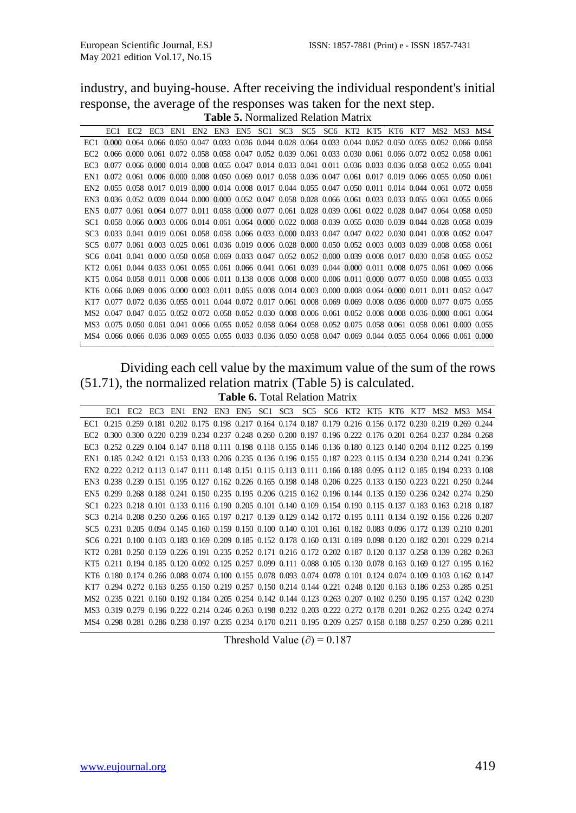industry, and buying-house. After receiving the individual respondent's initial response, the average of the responses was taken for the next step. **Table 5.** Normalized Relation Matrix

|      | EC1.                                                                                                                                            | EC <sub>2</sub> |  |  |  |  |  |  | EC3 EN1 EN2 EN3 EN5 SC1 SC3 SC5 SC6 KT2 KT5 KT6 KT7 MS2 MS3 MS4                                             |  |  |
|------|-------------------------------------------------------------------------------------------------------------------------------------------------|-----------------|--|--|--|--|--|--|-------------------------------------------------------------------------------------------------------------|--|--|
| EC1. | $0.000$ $0.064$ $0.066$ $0.050$ $0.047$ $0.033$ $0.036$ $0.044$ $0.028$ $0.064$ $0.033$ $0.044$ $0.052$ $0.050$ $0.055$ $0.052$ $0.066$ $0.058$ |                 |  |  |  |  |  |  |                                                                                                             |  |  |
|      | 0.066 0.000 0.061 0.072 0.058 0.058 0.047 0.052 0.039 0.061 0.033 0.030 0.061 0.066 0.072 0.052 0.058 0.061                                     |                 |  |  |  |  |  |  |                                                                                                             |  |  |
|      |                                                                                                                                                 |                 |  |  |  |  |  |  | 0.077 0.066 0.000 0.014 0.008 0.055 0.047 0.014 0.033 0.041 0.011 0.036 0.033 0.036 0.058 0.052 0.055 0.041 |  |  |
|      | EN1 0.072 0.061 0.006 0.000 0.008 0.050 0.069 0.017 0.058 0.036 0.047 0.061 0.017 0.019 0.066 0.055 0.050 0.061                                 |                 |  |  |  |  |  |  |                                                                                                             |  |  |
|      | EN2 0.055 0.058 0.017 0.019 0.000 0.014 0.008 0.017 0.044 0.055 0.047 0.050 0.011 0.014 0.044 0.061 0.072 0.058                                 |                 |  |  |  |  |  |  |                                                                                                             |  |  |
|      | EN3 0.036 0.052 0.039 0.044 0.000 0.000 0.052 0.047 0.058 0.028 0.066 0.061 0.033 0.033 0.055 0.061 0.055 0.066                                 |                 |  |  |  |  |  |  |                                                                                                             |  |  |
|      | EN5 0.077 0.061 0.064 0.077 0.011 0.058 0.000 0.077 0.061 0.028 0.039 0.061 0.022 0.028 0.047 0.064 0.058 0.050                                 |                 |  |  |  |  |  |  |                                                                                                             |  |  |
|      | \$C1 0.058 0.066 0.003 0.006 0.014 0.061 0.064 0.000 0.022 0.008 0.039 0.055 0.030 0.039 0.044 0.028 0.058 0.039                                |                 |  |  |  |  |  |  |                                                                                                             |  |  |
|      | \$C3 0.033 0.041 0.019 0.061 0.058 0.058 0.066 0.033 0.000 0.033 0.047 0.047 0.022 0.030 0.041 0.008 0.052 0.047                                |                 |  |  |  |  |  |  |                                                                                                             |  |  |
|      | \$C5 0.077 0.061 0.003 0.025 0.061 0.036 0.019 0.006 0.028 0.000 0.050 0.052 0.003 0.003 0.003 0.008 0.058 0.061                                |                 |  |  |  |  |  |  |                                                                                                             |  |  |
|      | \$C6 0.041 0.041 0.000 0.050 0.058 0.069 0.033 0.047 0.052 0.052 0.000 0.039 0.008 0.017 0.030 0.058 0.055 0.052                                |                 |  |  |  |  |  |  |                                                                                                             |  |  |
|      | KT2 0.061 0.044 0.033 0.061 0.055 0.061 0.066 0.041 0.061 0.039 0.044 0.000 0.011 0.008 0.075 0.061 0.069 0.066                                 |                 |  |  |  |  |  |  |                                                                                                             |  |  |
|      | KT5 0.064 0.058 0.011 0.008 0.006 0.011 0.138 0.008 0.008 0.000 0.006 0.011 0.000 0.077 0.050 0.008 0.055 0.033                                 |                 |  |  |  |  |  |  |                                                                                                             |  |  |
|      | KT6 0.066 0.069 0.006 0.000 0.003 0.011 0.055 0.008 0.014 0.003 0.000 0.008 0.064 0.000 0.011 0.011 0.052 0.047                                 |                 |  |  |  |  |  |  |                                                                                                             |  |  |
|      |                                                                                                                                                 |                 |  |  |  |  |  |  | 0.077 0.072 0.036 0.055 0.011 0.044 0.072 0.017 0.061 0.008 0.069 0.069 0.008 0.036 0.000 0.077 0.075 0.055 |  |  |
|      | MS2 0.047 0.047 0.055 0.052 0.072 0.058 0.052 0.030 0.008 0.006 0.061 0.052 0.008 0.008 0.006 0.000 0.061 0.064                                 |                 |  |  |  |  |  |  |                                                                                                             |  |  |
|      | MS3 0.075 0.050 0.061 0.041 0.066 0.055 0.052 0.058 0.064 0.058 0.052 0.075 0.058 0.061 0.058 0.061 0.000 0.055                                 |                 |  |  |  |  |  |  |                                                                                                             |  |  |
|      | MS4 0.066 0.066 0.036 0.069 0.055 0.055 0.033 0.036 0.050 0.058 0.047 0.069 0.044 0.055 0.064 0.066 0.061 0.000                                 |                 |  |  |  |  |  |  |                                                                                                             |  |  |

Dividing each cell value by the maximum value of the sum of the rows (51.71), the normalized relation matrix (Table 5) is calculated. **Table 6.** Total Relation Matrix

|                                                                                                                  | EC1 EC2 EC3 EN1 EN2 EN3 EN5 SC1 SC3 SC5 SC6 KT2 KT5 KT6 KT7 MS2 MS3 MS4 |  |  |  |  |  |  |  |  |
|------------------------------------------------------------------------------------------------------------------|-------------------------------------------------------------------------|--|--|--|--|--|--|--|--|
| EC1 0.215 0.259 0.181 0.202 0.175 0.198 0.217 0.164 0.174 0.187 0.179 0.216 0.156 0.172 0.230 0.219 0.269 0.244  |                                                                         |  |  |  |  |  |  |  |  |
| 0.300 0.300 0.220 0.239 0.234 0.237 0.248 0.260 0.200 0.197 0.196 0.222 0.176 0.201 0.264 0.237 0.284 0.268      |                                                                         |  |  |  |  |  |  |  |  |
| EC3 0.252 0.229 0.104 0.147 0.118 0.111 0.198 0.118 0.155 0.146 0.136 0.180 0.123 0.140 0.204 0.112 0.225 0.199  |                                                                         |  |  |  |  |  |  |  |  |
| EN1 0.185 0.242 0.121 0.153 0.133 0.206 0.235 0.136 0.196 0.155 0.187 0.223 0.115 0.134 0.230 0.214 0.241 0.236  |                                                                         |  |  |  |  |  |  |  |  |
| EN2 0.222 0.212 0.113 0.147 0.111 0.148 0.151 0.115 0.113 0.111 0.166 0.188 0.095 0.112 0.185 0.194 0.233 0.108  |                                                                         |  |  |  |  |  |  |  |  |
| EN3 0.238 0.239 0.151 0.195 0.127 0.162 0.226 0.165 0.198 0.148 0.206 0.225 0.133 0.150 0.223 0.221 0.250 0.244  |                                                                         |  |  |  |  |  |  |  |  |
| EN5 0.299 0.268 0.188 0.241 0.150 0.235 0.195 0.206 0.215 0.162 0.196 0.144 0.135 0.159 0.236 0.242 0.274 0.250  |                                                                         |  |  |  |  |  |  |  |  |
| \$C1 0.223 0.218 0.101 0.133 0.116 0.190 0.205 0.101 0.140 0.109 0.154 0.190 0.115 0.137 0.183 0.163 0.218 0.187 |                                                                         |  |  |  |  |  |  |  |  |
| SC3 0.214 0.208 0.250 0.266 0.165 0.197 0.217 0.139 0.129 0.142 0.172 0.195 0.111 0.134 0.192 0.156 0.226 0.207  |                                                                         |  |  |  |  |  |  |  |  |
| \$C5 0.231 0.205 0.094 0.145 0.160 0.159 0.150 0.100 0.140 0.101 0.161 0.182 0.083 0.096 0.172 0.139 0.210 0.201 |                                                                         |  |  |  |  |  |  |  |  |
| \$C6 0.221 0.100 0.103 0.183 0.169 0.209 0.185 0.152 0.178 0.160 0.131 0.189 0.098 0.120 0.182 0.201 0.229 0.214 |                                                                         |  |  |  |  |  |  |  |  |
| KT2 0.281 0.250 0.159 0.226 0.191 0.235 0.252 0.171 0.216 0.172 0.202 0.187 0.120 0.137 0.258 0.139 0.282 0.263  |                                                                         |  |  |  |  |  |  |  |  |
| KT5 0.211 0.194 0.185 0.120 0.092 0.125 0.257 0.099 0.111 0.088 0.105 0.130 0.078 0.163 0.169 0.127 0.195 0.162  |                                                                         |  |  |  |  |  |  |  |  |
| KT6 0.180 0.174 0.266 0.088 0.074 0.100 0.155 0.078 0.093 0.074 0.078 0.101 0.124 0.074 0.109 0.103 0.162 0.147  |                                                                         |  |  |  |  |  |  |  |  |
| KT7 0.294 0.272 0.163 0.255 0.150 0.219 0.257 0.150 0.214 0.144 0.221 0.248 0.120 0.163 0.186 0.253 0.285 0.251  |                                                                         |  |  |  |  |  |  |  |  |
| MS2 0.235 0.221 0.160 0.192 0.184 0.205 0.254 0.142 0.144 0.123 0.263 0.207 0.102 0.250 0.195 0.157 0.242 0.230  |                                                                         |  |  |  |  |  |  |  |  |
| MS3 0.319 0.279 0.196 0.222 0.214 0.246 0.263 0.198 0.232 0.203 0.222 0.272 0.178 0.201 0.262 0.255 0.242 0.274  |                                                                         |  |  |  |  |  |  |  |  |
| MS4 0.298 0.281 0.286 0.238 0.197 0.235 0.234 0.170 0.211 0.195 0.209 0.257 0.158 0.188 0.257 0.250 0.286 0.211  |                                                                         |  |  |  |  |  |  |  |  |
|                                                                                                                  |                                                                         |  |  |  |  |  |  |  |  |

Threshold Value ( $\partial$ ) = 0.187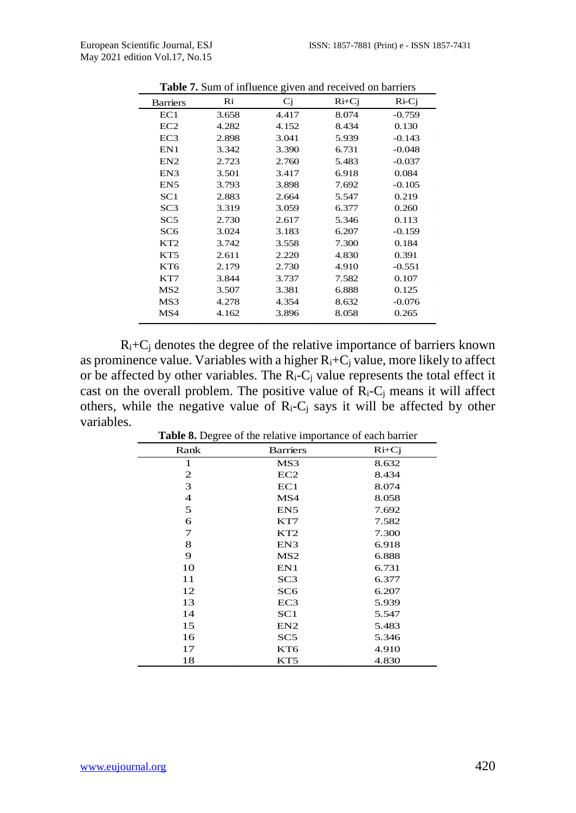|                 |       | o     |         |          |
|-----------------|-------|-------|---------|----------|
| <b>Barriers</b> | Ri    | Cj    | $Ri+Cj$ | $Ri-Ci$  |
| EC1             | 3.658 | 4.417 | 8.074   | $-0.759$ |
| EC2             | 4.282 | 4.152 | 8.434   | 0.130    |
| EC <sub>3</sub> | 2.898 | 3.041 | 5.939   | $-0.143$ |
| EN1             | 3.342 | 3.390 | 6.731   | $-0.048$ |
| EN2             | 2.723 | 2.760 | 5.483   | $-0.037$ |
| EN3             | 3.501 | 3.417 | 6.918   | 0.084    |
| EN <sub>5</sub> | 3.793 | 3.898 | 7.692   | $-0.105$ |
| SC1             | 2.883 | 2.664 | 5.547   | 0.219    |
| SC <sub>3</sub> | 3.319 | 3.059 | 6.377   | 0.260    |
| SC <sub>5</sub> | 2.730 | 2.617 | 5.346   | 0.113    |
| SC <sub>6</sub> | 3.024 | 3.183 | 6.207   | $-0.159$ |
| KT <sub>2</sub> | 3.742 | 3.558 | 7.300   | 0.184    |
| KT5             | 2.611 | 2.220 | 4.830   | 0.391    |
| KT6             | 2.179 | 2.730 | 4.910   | $-0.551$ |
| KT7             | 3.844 | 3.737 | 7.582   | 0.107    |
| MS <sub>2</sub> | 3.507 | 3.381 | 6.888   | 0.125    |
| MS3             | 4.278 | 4.354 | 8.632   | $-0.076$ |
| MS4             | 4.162 | 3.896 | 8.058   | 0.265    |
|                 |       |       |         |          |

**Table 7.** Sum of influence given and received on barriers

 $R_i+C_i$  denotes the degree of the relative importance of barriers known as prominence value. Variables with a higher  $R_i+C_j$  value, more likely to affect or be affected by other variables. The  $R_i - C_j$  value represents the total effect it cast on the overall problem. The positive value of  $R_i-C_j$  means it will affect others, while the negative value of  $R_i-C_j$  says it will be affected by other variables. **Table 8.** Degree of the relative importance of each barrier

| <b>Table 8.</b> Degree of the relative importance of each barrier |                 |         |
|-------------------------------------------------------------------|-----------------|---------|
| Rank                                                              | <b>Barriers</b> | $Ri+Cj$ |
| 1                                                                 | MS3             | 8.632   |
| 2                                                                 | EC2             | 8.434   |
| 3                                                                 | EC1             | 8.074   |
| $\overline{4}$                                                    | MS4             | 8.058   |
| 5                                                                 | EN <sub>5</sub> | 7.692   |
| 6                                                                 | KT7             | 7.582   |
| 7                                                                 | KT2             | 7.300   |
| 8                                                                 | EN3             | 6.918   |
| 9                                                                 | MS <sub>2</sub> | 6.888   |
| 10                                                                | EN1             | 6.731   |
| 11                                                                | SC3             | 6.377   |
| 12                                                                | SC6             | 6.207   |
| 13                                                                | EC <sub>3</sub> | 5.939   |
| 14                                                                | SC1             | 5.547   |
| 15                                                                | EN2             | 5.483   |
| 16                                                                | SC5             | 5.346   |
| 17                                                                | KT <sub>6</sub> | 4.910   |
| 18                                                                | KT5             | 4.830   |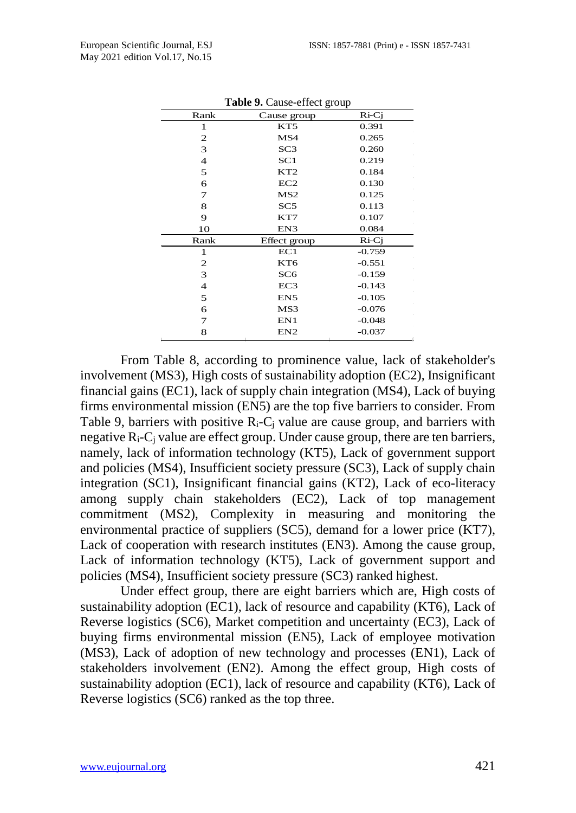| Rank           | Cause group     | $Ri-Ci$  |
|----------------|-----------------|----------|
| 1              | KT5             | 0.391    |
| 2              | MS4             | 0.265    |
| 3              | SC <sub>3</sub> | 0.260    |
| 4              | SC1             | 0.219    |
| 5              | KT <sub>2</sub> | 0.184    |
| 6              | EC2             | 0.130    |
| 7              | MS <sub>2</sub> | 0.125    |
| 8              | SC5             | 0.113    |
| 9              | KT7             | 0.107    |
| 10             | EN3             | 0.084    |
| Rank           | Effect group    | $Ri-Ci$  |
| 1              | EC1             | $-0.759$ |
| 2              | KT6             | $-0.551$ |
| 3              | SC <sub>6</sub> | $-0.159$ |
| $\overline{4}$ | EC3             | $-0.143$ |
| 5              | EN5             | $-0.105$ |
| 6              | MS3             | $-0.076$ |
| 7              | EN1             | $-0.048$ |
| 8              | EN <sub>2</sub> | $-0.037$ |

Table 0. Cause-effect an

From Table 8, according to prominence value, lack of stakeholder's involvement (MS3), High costs of sustainability adoption (EC2), Insignificant financial gains (EC1), lack of supply chain integration (MS4), Lack of buying firms environmental mission (EN5) are the top five barriers to consider. From Table 9, barriers with positive  $R_i-C_i$  value are cause group, and barriers with negative  $R_i-C_i$  value are effect group. Under cause group, there are ten barriers, namely, lack of information technology (KT5), Lack of government support and policies (MS4), Insufficient society pressure (SC3), Lack of supply chain integration (SC1), Insignificant financial gains (KT2), Lack of eco-literacy among supply chain stakeholders (EC2), Lack of top management commitment (MS2), Complexity in measuring and monitoring the environmental practice of suppliers (SC5), demand for a lower price (KT7), Lack of cooperation with research institutes (EN3). Among the cause group, Lack of information technology (KT5), Lack of government support and policies (MS4), Insufficient society pressure (SC3) ranked highest.

Under effect group, there are eight barriers which are, High costs of sustainability adoption (EC1), lack of resource and capability (KT6), Lack of Reverse logistics (SC6), Market competition and uncertainty (EC3), Lack of buying firms environmental mission (EN5), Lack of employee motivation (MS3), Lack of adoption of new technology and processes (EN1), Lack of stakeholders involvement (EN2). Among the effect group, High costs of sustainability adoption (EC1), lack of resource and capability (KT6), Lack of Reverse logistics (SC6) ranked as the top three.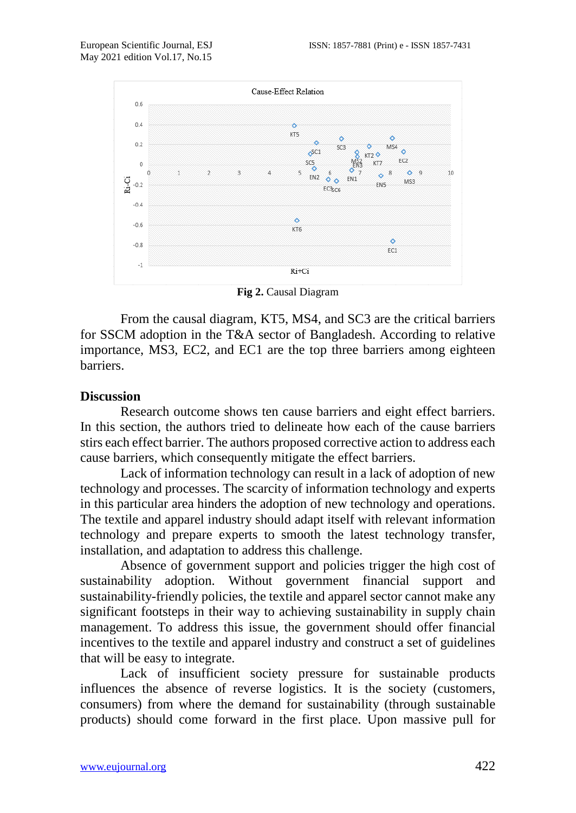

**Fig 2.** Causal Diagram

From the causal diagram, KT5, MS4, and SC3 are the critical barriers for SSCM adoption in the T&A sector of Bangladesh. According to relative importance, MS3, EC2, and EC1 are the top three barriers among eighteen barriers.

#### **Discussion**

Research outcome shows ten cause barriers and eight effect barriers. In this section, the authors tried to delineate how each of the cause barriers stirs each effect barrier. The authors proposed corrective action to address each cause barriers, which consequently mitigate the effect barriers.

Lack of information technology can result in a lack of adoption of new technology and processes. The scarcity of information technology and experts in this particular area hinders the adoption of new technology and operations. The textile and apparel industry should adapt itself with relevant information technology and prepare experts to smooth the latest technology transfer, installation, and adaptation to address this challenge.

Absence of government support and policies trigger the high cost of sustainability adoption. Without government financial support and sustainability-friendly policies, the textile and apparel sector cannot make any significant footsteps in their way to achieving sustainability in supply chain management. To address this issue, the government should offer financial incentives to the textile and apparel industry and construct a set of guidelines that will be easy to integrate.

Lack of insufficient society pressure for sustainable products influences the absence of reverse logistics. It is the society (customers, consumers) from where the demand for sustainability (through sustainable products) should come forward in the first place. Upon massive pull for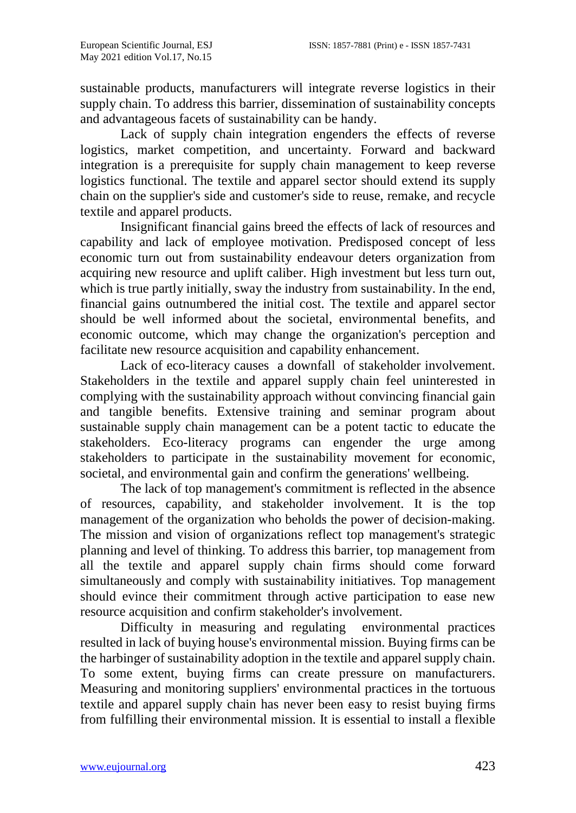sustainable products, manufacturers will integrate reverse logistics in their supply chain. To address this barrier, dissemination of sustainability concepts and advantageous facets of sustainability can be handy.

Lack of supply chain integration engenders the effects of reverse logistics, market competition, and uncertainty. Forward and backward integration is a prerequisite for supply chain management to keep reverse logistics functional. The textile and apparel sector should extend its supply chain on the supplier's side and customer's side to reuse, remake, and recycle textile and apparel products.

Insignificant financial gains breed the effects of lack of resources and capability and lack of employee motivation. Predisposed concept of less economic turn out from sustainability endeavour deters organization from acquiring new resource and uplift caliber. High investment but less turn out, which is true partly initially, sway the industry from sustainability. In the end, financial gains outnumbered the initial cost. The textile and apparel sector should be well informed about the societal, environmental benefits, and economic outcome, which may change the organization's perception and facilitate new resource acquisition and capability enhancement.

Lack of eco-literacy causes a downfall of stakeholder involvement. Stakeholders in the textile and apparel supply chain feel uninterested in complying with the sustainability approach without convincing financial gain and tangible benefits. Extensive training and seminar program about sustainable supply chain management can be a potent tactic to educate the stakeholders. Eco-literacy programs can engender the urge among stakeholders to participate in the sustainability movement for economic, societal, and environmental gain and confirm the generations' wellbeing.

The lack of top management's commitment is reflected in the absence of resources, capability, and stakeholder involvement. It is the top management of the organization who beholds the power of decision-making. The mission and vision of organizations reflect top management's strategic planning and level of thinking. To address this barrier, top management from all the textile and apparel supply chain firms should come forward simultaneously and comply with sustainability initiatives. Top management should evince their commitment through active participation to ease new resource acquisition and confirm stakeholder's involvement.

Difficulty in measuring and regulating environmental practices resulted in lack of buying house's environmental mission. Buying firms can be the harbinger of sustainability adoption in the textile and apparel supply chain. To some extent, buying firms can create pressure on manufacturers. Measuring and monitoring suppliers' environmental practices in the tortuous textile and apparel supply chain has never been easy to resist buying firms from fulfilling their environmental mission. It is essential to install a flexible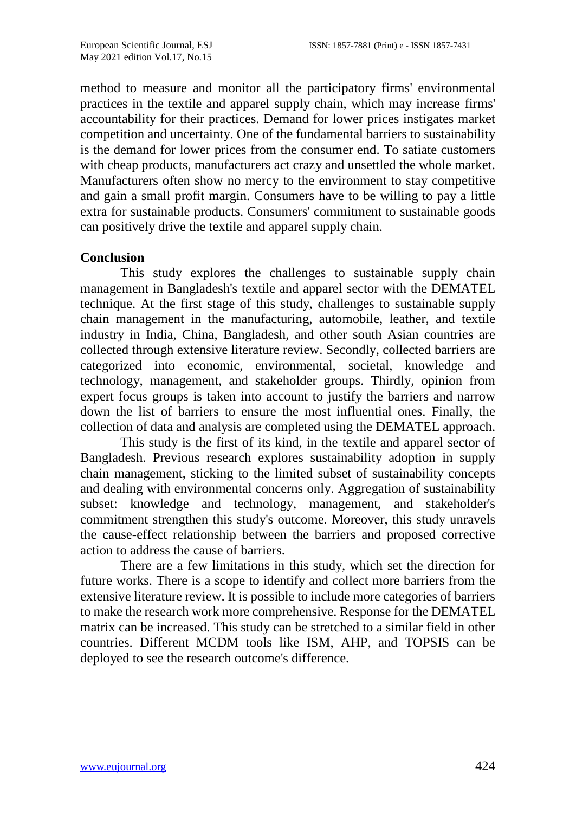method to measure and monitor all the participatory firms' environmental practices in the textile and apparel supply chain, which may increase firms' accountability for their practices. Demand for lower prices instigates market competition and uncertainty. One of the fundamental barriers to sustainability is the demand for lower prices from the consumer end. To satiate customers with cheap products, manufacturers act crazy and unsettled the whole market. Manufacturers often show no mercy to the environment to stay competitive and gain a small profit margin. Consumers have to be willing to pay a little extra for sustainable products. Consumers' commitment to sustainable goods can positively drive the textile and apparel supply chain.

#### **Conclusion**

This study explores the challenges to sustainable supply chain management in Bangladesh's textile and apparel sector with the DEMATEL technique. At the first stage of this study, challenges to sustainable supply chain management in the manufacturing, automobile, leather, and textile industry in India, China, Bangladesh, and other south Asian countries are collected through extensive literature review. Secondly, collected barriers are categorized into economic, environmental, societal, knowledge and technology, management, and stakeholder groups. Thirdly, opinion from expert focus groups is taken into account to justify the barriers and narrow down the list of barriers to ensure the most influential ones. Finally, the collection of data and analysis are completed using the DEMATEL approach.

This study is the first of its kind, in the textile and apparel sector of Bangladesh. Previous research explores sustainability adoption in supply chain management, sticking to the limited subset of sustainability concepts and dealing with environmental concerns only. Aggregation of sustainability subset: knowledge and technology, management, and stakeholder's commitment strengthen this study's outcome. Moreover, this study unravels the cause-effect relationship between the barriers and proposed corrective action to address the cause of barriers.

There are a few limitations in this study, which set the direction for future works. There is a scope to identify and collect more barriers from the extensive literature review. It is possible to include more categories of barriers to make the research work more comprehensive. Response for the DEMATEL matrix can be increased. This study can be stretched to a similar field in other countries. Different MCDM tools like ISM, AHP, and TOPSIS can be deployed to see the research outcome's difference.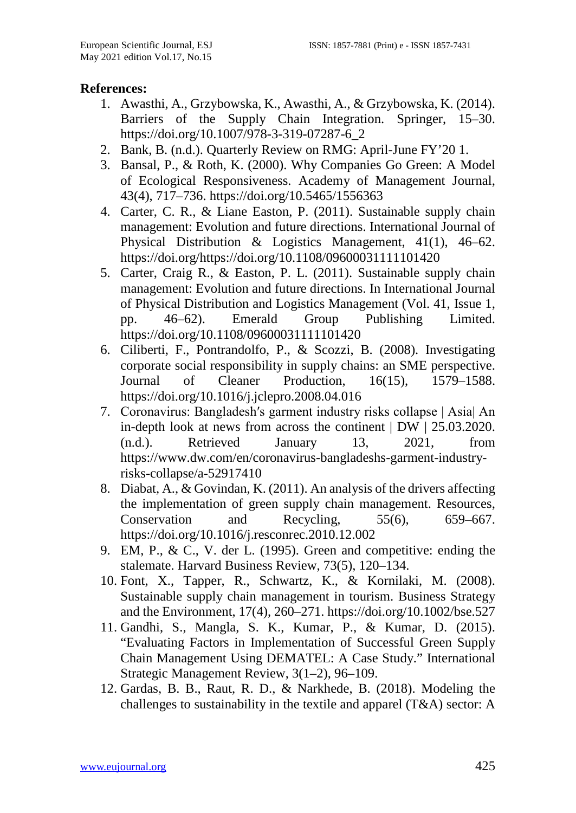#### **References:**

- 1. Awasthi, A., Grzybowska, K., Awasthi, A., & Grzybowska, K. (2014). Barriers of the Supply Chain Integration. Springer, 15–30. https://doi.org/10.1007/978-3-319-07287-6\_2
- 2. Bank, B. (n.d.). Quarterly Review on RMG: April-June FY'20 1.
- 3. Bansal, P., & Roth, K. (2000). Why Companies Go Green: A Model of Ecological Responsiveness. Academy of Management Journal, 43(4), 717–736. https://doi.org/10.5465/1556363
- 4. Carter, C. R., & Liane Easton, P. (2011). Sustainable supply chain management: Evolution and future directions. International Journal of Physical Distribution & Logistics Management, 41(1), 46–62. https://doi.org/https://doi.org/10.1108/09600031111101420
- 5. Carter, Craig R., & Easton, P. L. (2011). Sustainable supply chain management: Evolution and future directions. In International Journal of Physical Distribution and Logistics Management (Vol. 41, Issue 1, pp. 46–62). Emerald Group Publishing Limited. https://doi.org/10.1108/09600031111101420
- 6. Ciliberti, F., Pontrandolfo, P., & Scozzi, B. (2008). Investigating corporate social responsibility in supply chains: an SME perspective.<br>Journal of Cleaner Production, 16(15), 1579–1588. of Cleaner Production, https://doi.org/10.1016/j.jclepro.2008.04.016
- 7. Coronavirus: Bangladesh′s garment industry risks collapse | Asia| An in-depth look at news from across the continent | DW | 25.03.2020. (n.d.). Retrieved January 13, 2021, from https://www.dw.com/en/coronavirus-bangladeshs-garment-industryrisks-collapse/a-52917410
- 8. Diabat, A., & Govindan, K. (2011). An analysis of the drivers affecting the implementation of green supply chain management. Resources, Conservation and Recycling, 55(6), 659–667. https://doi.org/10.1016/j.resconrec.2010.12.002
- 9. EM, P., & C., V. der L. (1995). Green and competitive: ending the stalemate. Harvard Business Review, 73(5), 120–134.
- 10. Font, X., Tapper, R., Schwartz, K., & Kornilaki, M. (2008). Sustainable supply chain management in tourism. Business Strategy and the Environment, 17(4), 260–271. https://doi.org/10.1002/bse.527
- 11. Gandhi, S., Mangla, S. K., Kumar, P., & Kumar, D. (2015). "Evaluating Factors in Implementation of Successful Green Supply Chain Management Using DEMATEL: A Case Study." International Strategic Management Review, 3(1–2), 96–109.
- 12. Gardas, B. B., Raut, R. D., & Narkhede, B. (2018). Modeling the challenges to sustainability in the textile and apparel (T&A) sector: A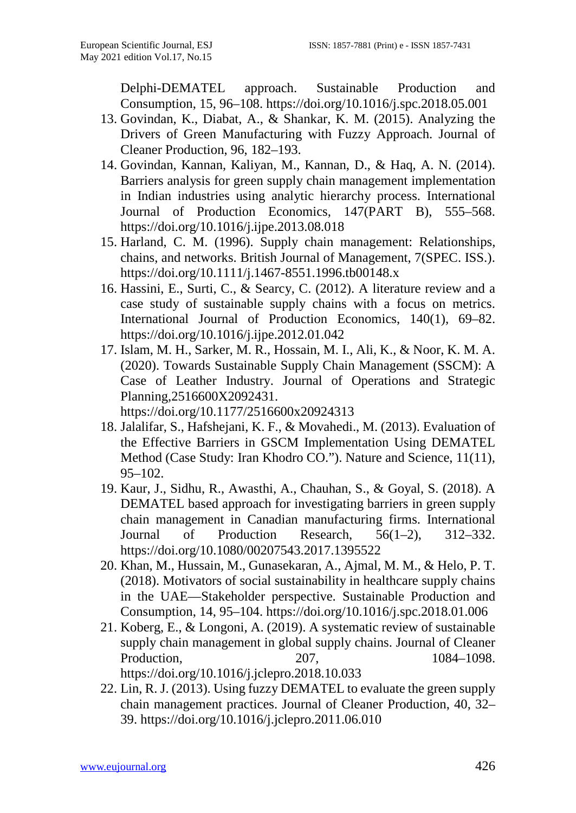Delphi-DEMATEL approach. Sustainable Production and Consumption, 15, 96–108. https://doi.org/10.1016/j.spc.2018.05.001

- 13. Govindan, K., Diabat, A., & Shankar, K. M. (2015). Analyzing the Drivers of Green Manufacturing with Fuzzy Approach. Journal of Cleaner Production, 96, 182–193.
- 14. Govindan, Kannan, Kaliyan, M., Kannan, D., & Haq, A. N. (2014). Barriers analysis for green supply chain management implementation in Indian industries using analytic hierarchy process. International Journal of Production Economics, 147(PART B), 555–568. https://doi.org/10.1016/j.ijpe.2013.08.018
- 15. Harland, C. M. (1996). Supply chain management: Relationships, chains, and networks. British Journal of Management, 7(SPEC. ISS.). https://doi.org/10.1111/j.1467-8551.1996.tb00148.x
- 16. Hassini, E., Surti, C., & Searcy, C. (2012). A literature review and a case study of sustainable supply chains with a focus on metrics. International Journal of Production Economics, 140(1), 69–82. https://doi.org/10.1016/j.ijpe.2012.01.042
- 17. Islam, M. H., Sarker, M. R., Hossain, M. I., Ali, K., & Noor, K. M. A. (2020). Towards Sustainable Supply Chain Management (SSCM): A Case of Leather Industry. Journal of Operations and Strategic Planning,2516600X2092431. https://doi.org/10.1177/2516600x20924313
- 18. Jalalifar, S., Hafshejani, K. F., & Movahedi., M. (2013). Evaluation of the Effective Barriers in GSCM Implementation Using DEMATEL Method (Case Study: Iran Khodro CO."). Nature and Science, 11(11), 95–102.
- 19. Kaur, J., Sidhu, R., Awasthi, A., Chauhan, S., & Goyal, S. (2018). A DEMATEL based approach for investigating barriers in green supply chain management in Canadian manufacturing firms. International Journal of Production Research, 56(1–2), 312–332. https://doi.org/10.1080/00207543.2017.1395522
- 20. Khan, M., Hussain, M., Gunasekaran, A., Ajmal, M. M., & Helo, P. T. (2018). Motivators of social sustainability in healthcare supply chains in the UAE—Stakeholder perspective. Sustainable Production and Consumption, 14, 95–104. https://doi.org/10.1016/j.spc.2018.01.006
- 21. Koberg, E., & Longoni, A. (2019). A systematic review of sustainable supply chain management in global supply chains. Journal of Cleaner Production, 207, 207, 1084–1098. https://doi.org/10.1016/j.jclepro.2018.10.033
- 22. Lin, R. J. (2013). Using fuzzy DEMATEL to evaluate the green supply chain management practices. Journal of Cleaner Production, 40, 32– 39. https://doi.org/10.1016/j.jclepro.2011.06.010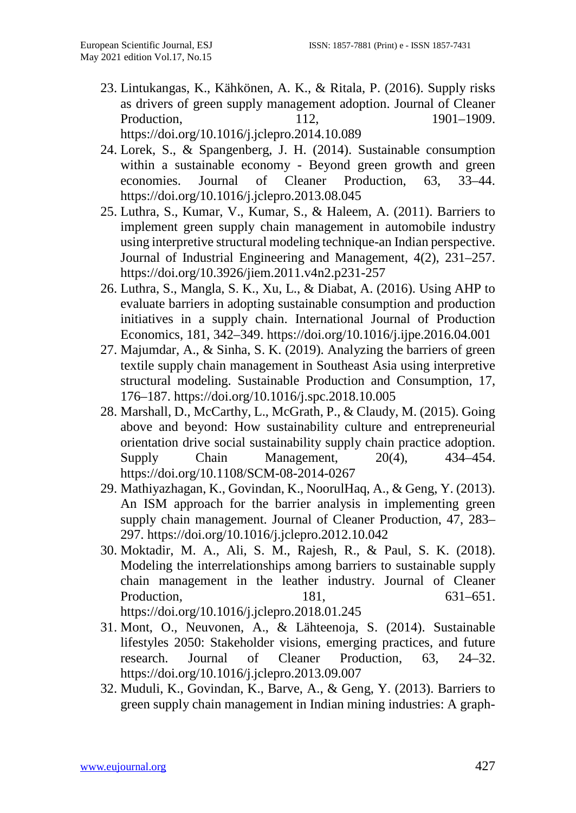- 23. Lintukangas, K., Kähkönen, A. K., & Ritala, P. (2016). Supply risks as drivers of green supply management adoption. Journal of Cleaner Production. 112, 1901–1909. https://doi.org/10.1016/j.jclepro.2014.10.089
- 24. Lorek, S., & Spangenberg, J. H. (2014). Sustainable consumption within a sustainable economy - Beyond green growth and green economies. Journal of Cleaner Production, 63, 33–44. https://doi.org/10.1016/j.jclepro.2013.08.045
- 25. Luthra, S., Kumar, V., Kumar, S., & Haleem, A. (2011). Barriers to implement green supply chain management in automobile industry using interpretive structural modeling technique-an Indian perspective. Journal of Industrial Engineering and Management, 4(2), 231–257. https://doi.org/10.3926/jiem.2011.v4n2.p231-257
- 26. Luthra, S., Mangla, S. K., Xu, L., & Diabat, A. (2016). Using AHP to evaluate barriers in adopting sustainable consumption and production initiatives in a supply chain. International Journal of Production Economics, 181, 342–349. https://doi.org/10.1016/j.ijpe.2016.04.001
- 27. Majumdar, A., & Sinha, S. K. (2019). Analyzing the barriers of green textile supply chain management in Southeast Asia using interpretive structural modeling. Sustainable Production and Consumption, 17, 176–187. https://doi.org/10.1016/j.spc.2018.10.005
- 28. Marshall, D., McCarthy, L., McGrath, P., & Claudy, M. (2015). Going above and beyond: How sustainability culture and entrepreneurial orientation drive social sustainability supply chain practice adoption. Supply Chain Management,  $20(4)$ ,  $434-454$ . https://doi.org/10.1108/SCM-08-2014-0267
- 29. Mathiyazhagan, K., Govindan, K., NoorulHaq, A., & Geng, Y. (2013). An ISM approach for the barrier analysis in implementing green supply chain management. Journal of Cleaner Production, 47, 283– 297. https://doi.org/10.1016/j.jclepro.2012.10.042
- 30. Moktadir, M. A., Ali, S. M., Rajesh, R., & Paul, S. K. (2018). Modeling the interrelationships among barriers to sustainable supply chain management in the leather industry. Journal of Cleaner Production, 181, 631–651. https://doi.org/10.1016/j.jclepro.2018.01.245
- 31. Mont, O., Neuvonen, A., & Lähteenoja, S. (2014). Sustainable lifestyles 2050: Stakeholder visions, emerging practices, and future research. Journal of Cleaner Production, 63, 24–32. https://doi.org/10.1016/j.jclepro.2013.09.007
- 32. Muduli, K., Govindan, K., Barve, A., & Geng, Y. (2013). Barriers to green supply chain management in Indian mining industries: A graph-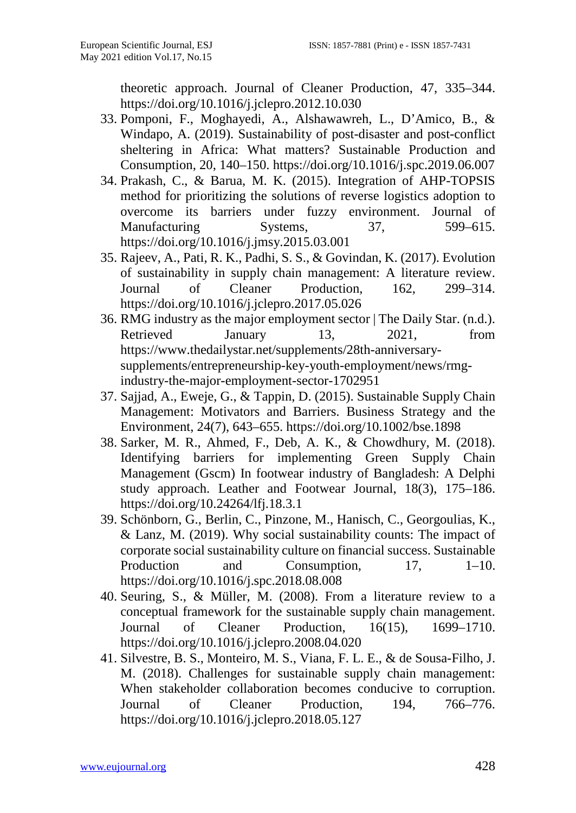theoretic approach. Journal of Cleaner Production, 47, 335–344. https://doi.org/10.1016/j.jclepro.2012.10.030

- 33. Pomponi, F., Moghayedi, A., Alshawawreh, L., D'Amico, B., & Windapo, A. (2019). Sustainability of post-disaster and post-conflict sheltering in Africa: What matters? Sustainable Production and Consumption, 20, 140–150. https://doi.org/10.1016/j.spc.2019.06.007
- 34. Prakash, C., & Barua, M. K. (2015). Integration of AHP-TOPSIS method for prioritizing the solutions of reverse logistics adoption to overcome its barriers under fuzzy environment. Journal of Manufacturing Systems, 37, 599–615. https://doi.org/10.1016/j.jmsy.2015.03.001
- 35. Rajeev, A., Pati, R. K., Padhi, S. S., & Govindan, K. (2017). Evolution of sustainability in supply chain management: A literature review. Journal of Cleaner Production, 162, 299–314. https://doi.org/10.1016/j.jclepro.2017.05.026
- 36. RMG industry as the major employment sector | The Daily Star. (n.d.). Retrieved January 13, 2021, from https://www.thedailystar.net/supplements/28th-anniversarysupplements/entrepreneurship-key-youth-employment/news/rmgindustry-the-major-employment-sector-1702951
- 37. Sajjad, A., Eweje, G., & Tappin, D. (2015). Sustainable Supply Chain Management: Motivators and Barriers. Business Strategy and the Environment, 24(7), 643–655. https://doi.org/10.1002/bse.1898
- 38. Sarker, M. R., Ahmed, F., Deb, A. K., & Chowdhury, M. (2018). Identifying barriers for implementing Green Supply Chain Management (Gscm) In footwear industry of Bangladesh: A Delphi study approach. Leather and Footwear Journal, 18(3), 175–186. https://doi.org/10.24264/lfj.18.3.1
- 39. Schönborn, G., Berlin, C., Pinzone, M., Hanisch, C., Georgoulias, K., & Lanz, M. (2019). Why social sustainability counts: The impact of corporate social sustainability culture on financial success. Sustainable Production and Consumption, 17, 1–10. https://doi.org/10.1016/j.spc.2018.08.008
- 40. Seuring, S., & Müller, M. (2008). From a literature review to a conceptual framework for the sustainable supply chain management. Journal of Cleaner Production, 16(15), 1699–1710. https://doi.org/10.1016/j.jclepro.2008.04.020
- 41. Silvestre, B. S., Monteiro, M. S., Viana, F. L. E., & de Sousa-Filho, J. M. (2018). Challenges for sustainable supply chain management: When stakeholder collaboration becomes conducive to corruption. Journal of Cleaner Production, 194, 766–776. https://doi.org/10.1016/j.jclepro.2018.05.127